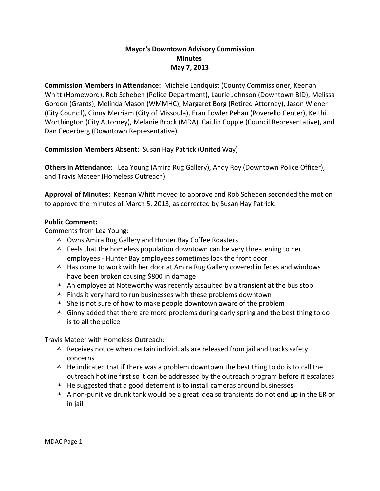## **Mayor's Downtown Advisory Commission Minutes May 7, 2013**

**Commission Members in Attendance:** Michele Landquist (County Commissioner, Keenan Whitt (Homeword), Rob Scheben (Police Department), Laurie Johnson (Downtown BID), Melissa Gordon (Grants), Melinda Mason (WMMHC), Margaret Borg (Retired Attorney), Jason Wiener (City Council), Ginny Merriam (City of Missoula), Eran Fowler Pehan (Poverello Center), Keithi Worthington (City Attorney), Melanie Brock (MDA), Caitlin Copple (Council Representative), and Dan Cederberg (Downtown Representative)

**Commission Members Absent:** Susan Hay Patrick (United Way)

**Others in Attendance:** Lea Young (Amira Rug Gallery), Andy Roy (Downtown Police Officer), and Travis Mateer (Homeless Outreach)

**Approval of Minutes:** Keenan Whitt moved to approve and Rob Scheben seconded the motion to approve the minutes of March 5, 2013, as corrected by Susan Hay Patrick.

## **Public Comment:**

Comments from Lea Young:

- $\triangle$  Owns Amira Rug Gallery and Hunter Bay Coffee Roasters
- $\triangle$  Feels that the homeless population downtown can be very threatening to her employees - Hunter Bay employees sometimes lock the front door
- $\uparrow$  Has come to work with her door at Amira Rug Gallery covered in feces and windows have been broken causing \$800 in damage
- A An employee at Noteworthy was recently assaulted by a transient at the bus stop
- $\triangle$  Finds it very hard to run businesses with these problems downtown
- $\triangle$  She is not sure of how to make people downtown aware of the problem
- $\triangle$  Ginny added that there are more problems during early spring and the best thing to do is to all the police

Travis Mateer with Homeless Outreach:

- $\triangle$  Receives notice when certain individuals are released from jail and tracks safety concerns
- $\overline{A}$  He indicated that if there was a problem downtown the best thing to do is to call the outreach hotline first so it can be addressed by the outreach program before it escalates
- $\triangle$  He suggested that a good deterrent is to install cameras around businesses
- $\triangle$  A non-punitive drunk tank would be a great idea so transients do not end up in the ER or in jail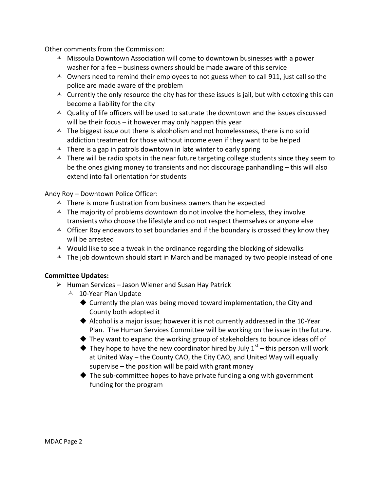Other comments from the Commission:

- $\triangle$  Missoula Downtown Association will come to downtown businesses with a power washer for a fee – business owners should be made aware of this service
- $\sim$  Owners need to remind their employees to not guess when to call 911, just call so the police are made aware of the problem
- $\triangle$  Currently the only resource the city has for these issues is jail, but with detoxing this can become a liability for the city
- $\triangle$  Quality of life officers will be used to saturate the downtown and the issues discussed will be their focus – it however may only happen this year
- $\overline{A}$  The biggest issue out there is alcoholism and not homelessness, there is no solid addiction treatment for those without income even if they want to be helped
- $\triangle$  There is a gap in patrols downtown in late winter to early spring
- $\triangle$  There will be radio spots in the near future targeting college students since they seem to be the ones giving money to transients and not discourage panhandling – this will also extend into fall orientation for students

Andy Roy – Downtown Police Officer:

- $\lambda$  There is more frustration from business owners than he expected
- $\triangle$  The majority of problems downtown do not involve the homeless, they involve transients who choose the lifestyle and do not respect themselves or anyone else
- $\triangle$  Officer Roy endeavors to set boundaries and if the boundary is crossed they know they will be arrested
- $\uparrow$  Would like to see a tweak in the ordinance regarding the blocking of sidewalks
- $\triangle$  The job downtown should start in March and be managed by two people instead of one

## **Committee Updates:**

- $\triangleright$  Human Services Jason Wiener and Susan Hay Patrick
	- <sup> $\triangle$ </sup> 10-Year Plan Update
		- ◆ Currently the plan was being moved toward implementation, the City and County both adopted it
		- Alcohol is a major issue; however it is not currently addressed in the 10-Year Plan. The Human Services Committee will be working on the issue in the future.
		- $\blacklozenge$  They want to expand the working group of stakeholders to bounce ideas off of
		- $\blacklozenge$  They hope to have the new coordinator hired by July  $1^{st}$  this person will work at United Way – the County CAO, the City CAO, and United Way will equally supervise – the position will be paid with grant money
		- $\blacklozenge$  The sub-committee hopes to have private funding along with government funding for the program